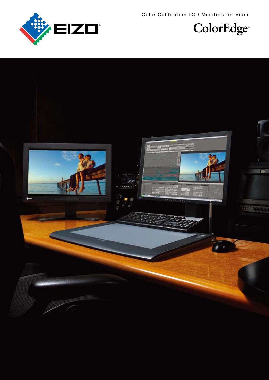Color Calibration LCD Monitors for Video





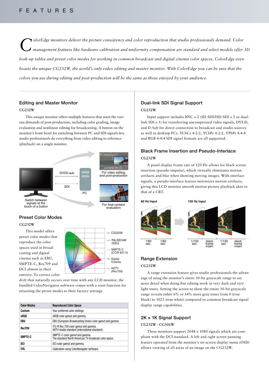# FEATURES

OlorEdge monitors deliver the picture consistency and color reproduction that studio professionals demand. Color<br>Management features like hardware calibration and uniformity compensation are standard and select models offe *look-up tables and preset color modes for working in common broadcast and digital cinema color spaces. ColorEdge even boasts the unique CG232W, the world's only video editing and master monitor. With ColorEdge you can be sure that the colors you use during editing and post-production will be the same as those enjoyed by your audience.*

# Editing and Master Monitor

#### **CG232W**

This unique monitor offers multiple features that meet the various demands of post-production, including color grading, image evaluation and nonlinear editing for broadcasting. A button on the monitor's front bezel for switching between PC and SDI signals lets studio professionals do everything from video editing to reference (playback) on a single monitor.



# Preset Color Modes **CG232W**

This model offers preset color modes that reproduce the color spaces used in broadcasting and digital cinema such as EBU, SMPTE-C, Rec709 and DCI almost in their entirety. To correct color



drift that naturally occurs over time with any LCD monitor, the bundled ColorNavigator software comes with a reset function for returning the preset modes to their factory settings.

| <b>Color Modes</b> | <b>Reproduced Color Space</b>                                                           |  |  |
|--------------------|-----------------------------------------------------------------------------------------|--|--|
| Custom             | Your preferred color settings.                                                          |  |  |
| sRGB               | sRGB color gamut and gamma.                                                             |  |  |
| EBU                | EBU (European Broadcasting Union) color gamut and gamma.                                |  |  |
| <b>Rec709</b>      | ITU-R Rec.709 color gamut and gamma.<br>HDTV studio standard (international standard).  |  |  |
| SMPTE-C            | SMPTE-C color gamut and gamma.<br>The standard North American TV broadcast color space. |  |  |
| DCI                | DCI color gamut and gamma.                                                              |  |  |
| CAL                | Calibration using ColorNavigator software.                                              |  |  |

# Dual-link SDI Signal Support **CG232W**

Input support includes  $BNC \times 2$  (SD-SDI/HD-SDI  $\times 2$  or duallink SDI × 1) for transferring uncompressed video signals, DVI-D, and D-Sub for direct connection to broadcast and studio sources as well as desktop PCs. YCbCr 4:2:2, YCbPr 4:2:2, YPbPr 4:4:4 and RGB 4:4:4 SDI signal formats are all supported.

# Black Frame Insertion and Pseudo-Interlace **CG232W**

A panel display frame rate of 120 Hz allows for black screen insertion (pseudo-impulse), which virtually eliminates motion artifacts and blur when showing moving images. With interlace signals, a pseudo-interlace feature minimizes motion artifacts, giving this LCD monitor smooth motion picture playback akin to that of a CRT.



# Range Extension

#### **CG232W**

A range extension feature gives studio professionals the advantage of using the monitor's entire 10-bit grayscale range to see more detail when doing fine editing work in very dark and very light tones. Setting the screen to show the entire 10-bit grayscale range reveals either 6% or 14% more gray tones from 0 (true black) to 1023 (true white) compared to common broadcast signal display range capabilities.

# 2K × 1K Signal Support

#### **CG232W · CG301W**

These monitors support  $2048 \times 1080$  signals which are compliant with the DCI standard. A left and right screen panning feature operated from the monitor's on-screen display menu (OSD) allows viewing of all areas of an image on the CG232W.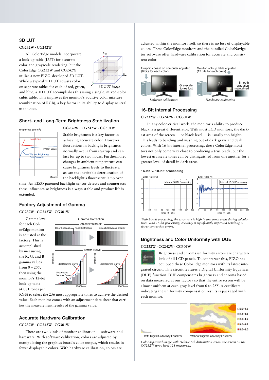# 3D LUT

#### **CG232W · CG242W**

All ColorEdge models incorporate a look-up table (LUT) for accurate color and grayscale rendering, but the ColorEdge CG232W and CG242W utilize a new EIZO-developed 3D LUT. While a typical 1D LUT adjusts color on separate tables for each of red, green,



and blue, a 3D LUT accomplishes this using a single, mixed-color cubic table. This improves the monitor's additive color mixture (combination of RGB), a key factor in its ability to display neutral gray tones.

# Short- and Long-Term Brightness Stabilization

| Brightness (cd/m <sup>2</sup> ) |                                                      |              |
|---------------------------------|------------------------------------------------------|--------------|
|                                 | ColorEdge                                            |              |
|                                 | <b>Without Brightness</b><br><b>Drift Correction</b> | Preset Value |
|                                 |                                                      |              |
|                                 |                                                      | Minutes      |

## **CG232W · CG242W · CG301W**

Stable brightness is a key factor in achieving accurate color. However, fluctuations in backlight brightness normally occur from startup and can last for up to two hours. Furthermore, changes in ambient temperature can cause brightness levels to fluctuate, as can the inevitable deterioration of the backlight's fluorescent lamp over

time. An EIZO patented backlight sensor detects and counteracts these influences so brightness is always stable and product life is extended.

# Factory Adjustment of Gamma

### **CG232W · CG242W · CG301W**

Gamma level for each ColorEdge monitor is adjusted at the factory. This is accomplished by measuring the R, G, and B gamma values from  $0 - 255$ , then using the monitor's 12-bit look-up table (4,081 tones per



RGB) to select the 256 most appropriate tones to achieve the desired value. Each monitor comes with an adjustment data sheet that certifies the measurement results of the gamma value.

# Accurate Hardware Calibration

#### **CG232W · CG242W · CG301W**

There are two kinds of monitor calibration — software and hardware. With software calibration, colors are adjusted by manipulating the graphics board's color output, which results in fewer displayable colors. With hardware calibration, colors are

adjusted within the monitor itself, so there is no loss of displayable colors. These ColorEdge monitors and the bundled ColorNavigator software offer hardware calibration for accurate and consistent color.



# 16-Bit Internal Processing

# **CG232W · CG242W · CG301W**

In any color-critical work, the monitor's ability to produce black is a great differentiator. With most LCD monitors, the darkest area of the screen — or black level — is usually too bright. This leads to banding and washing out of dark grays and dark colors. With 16-bit internal processing, these ColorEdge monitors not only come very close to producing a true black, but the lowest grayscale tones can be distinguished from one another for a greater level of detail in dark areas.

#### 16-bit v. 10-bit processing



*With 10-bit processing, the error rate is high in low tonal areas during calculation. With 16-bit processing, accuracy is significantly improved resulting in fewer conversion errors.*

### Brightness and Color Uniformity with DUE

#### **CG232W · CG242W · CG301W**

Brightness and chroma uniformity errors are characteristic of all LCD panels. To counteract this, EIZO has

equipped these ColorEdge monitors with its latest integrated circuit. This circuit features a Digital Uniformity Equalizer (DUE) function. DUE compensates brightness and chroma based on data measured at our factory so that the entire screen will be almost uniform at each gray level from 0 to 255. A certificate indicating the uniformity compensation results is packaged with each monitor.



*Color-separated image with Delta-E\*ab distribution across the screen on the CG232W (gray level 128 measured).*